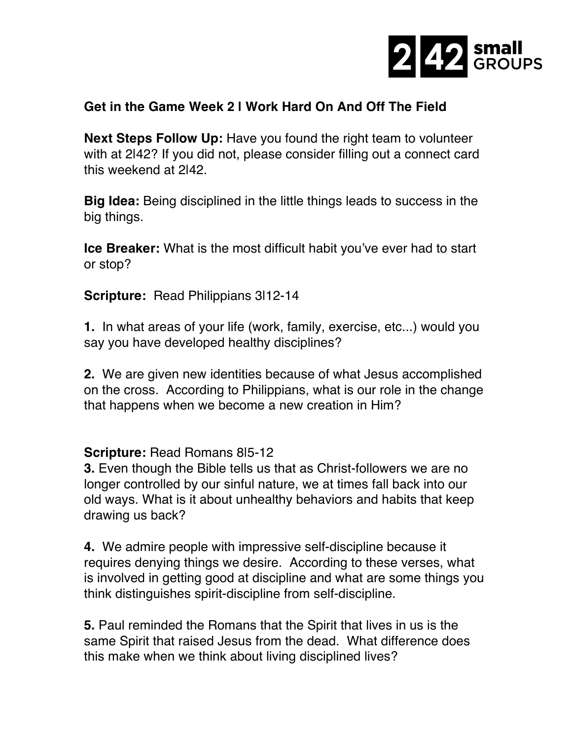

## **Get in the Game Week 2 | Work Hard On And Off The Field**

**Next Steps Follow Up:** Have you found the right team to volunteer with at 2|42? If you did not, please consider filling out a connect card this weekend at 2|42.

**Big Idea:** Being disciplined in the little things leads to success in the big things.

**Ice Breaker:** What is the most difficult habit you've ever had to start or stop?

**Scripture: Read Philippians 3|12-14** 

**1.** In what areas of your life (work, family, exercise, etc...) would you say you have developed healthy disciplines?

**2.** We are given new identities because of what Jesus accomplished on the cross. According to Philippians, what is our role in the change that happens when we become a new creation in Him?

**Scripture:** Read Romans 8|5-12

**3.** Even though the Bible tells us that as Christ-followers we are no longer controlled by our sinful nature, we at times fall back into our old ways. What is it about unhealthy behaviors and habits that keep drawing us back?

**4.** We admire people with impressive self-discipline because it requires denying things we desire. According to these verses, what is involved in getting good at discipline and what are some things you think distinguishes spirit-discipline from self-discipline.

**5.** Paul reminded the Romans that the Spirit that lives in us is the same Spirit that raised Jesus from the dead. What difference does this make when we think about living disciplined lives?